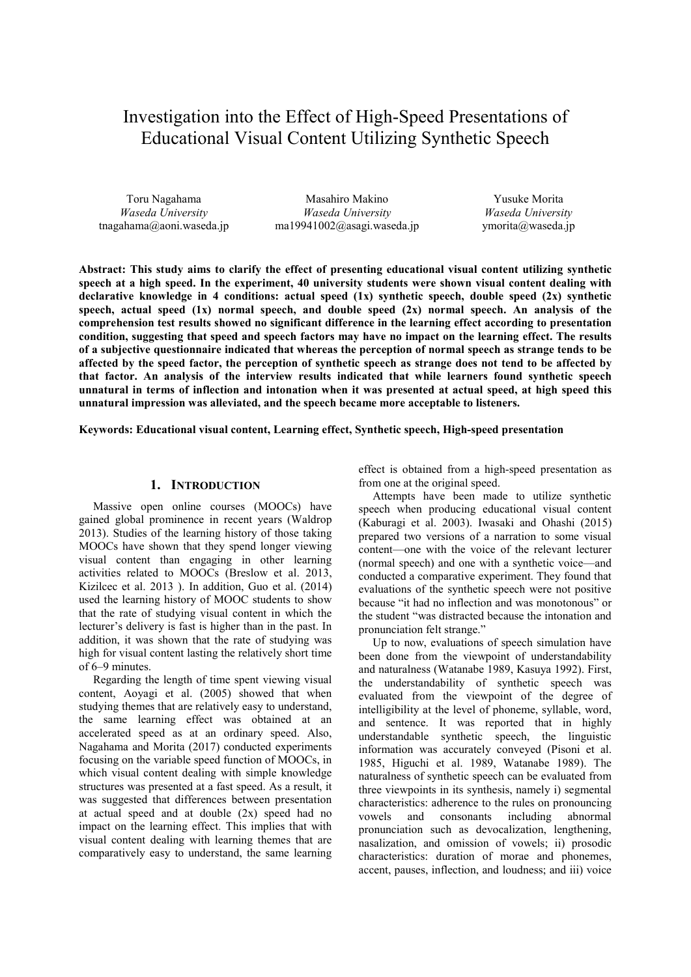# Investigation into the Effect of High-Speed Presentations of Educational Visual Content Utilizing Synthetic Speech

Toru Nagahama *Waseda University* tnagahama@aoni.waseda.jp

Masahiro Makino *Waseda University* ma19941002@asagi.waseda.jp

Yusuke Morita *Waseda University* ymorita@waseda.jp

**Abstract: This study aims to clarify the effect of presenting educational visual content utilizing synthetic speech at a high speed. In the experiment, 40 university students were shown visual content dealing with declarative knowledge in 4 conditions: actual speed (1x) synthetic speech, double speed (2x) synthetic speech, actual speed (1x) normal speech, and double speed (2x) normal speech. An analysis of the comprehension test results showed no significant difference in the learning effect according to presentation condition, suggesting that speed and speech factors may have no impact on the learning effect. The results of a subjective questionnaire indicated that whereas the perception of normal speech as strange tends to be affected by the speed factor, the perception of synthetic speech as strange does not tend to be affected by that factor. An analysis of the interview results indicated that while learners found synthetic speech unnatural in terms of inflection and intonation when it was presented at actual speed, at high speed this unnatural impression was alleviated, and the speech became more acceptable to listeners.** 

**Keywords: Educational visual content, Learning effect, Synthetic speech, High-speed presentation** 

#### **1. INTRODUCTION**

Massive open online courses (MOOCs) have gained global prominence in recent years (Waldrop 2013). Studies of the learning history of those taking MOOCs have shown that they spend longer viewing visual content than engaging in other learning activities related to MOOCs (Breslow et al. 2013, Kizilcec et al. 2013 ). In addition, Guo et al. (2014) used the learning history of MOOC students to show that the rate of studying visual content in which the lecturer's delivery is fast is higher than in the past. In addition, it was shown that the rate of studying was high for visual content lasting the relatively short time of 6–9 minutes.

Regarding the length of time spent viewing visual content, Aoyagi et al. (2005) showed that when studying themes that are relatively easy to understand, the same learning effect was obtained at an accelerated speed as at an ordinary speed. Also, Nagahama and Morita (2017) conducted experiments focusing on the variable speed function of MOOCs, in which visual content dealing with simple knowledge structures was presented at a fast speed. As a result, it was suggested that differences between presentation at actual speed and at double (2x) speed had no impact on the learning effect. This implies that with visual content dealing with learning themes that are comparatively easy to understand, the same learning

effect is obtained from a high-speed presentation as from one at the original speed.

Attempts have been made to utilize synthetic speech when producing educational visual content (Kaburagi et al. 2003). Iwasaki and Ohashi (2015) prepared two versions of a narration to some visual content—one with the voice of the relevant lecturer (normal speech) and one with a synthetic voice—and conducted a comparative experiment. They found that evaluations of the synthetic speech were not positive because "it had no inflection and was monotonous" or the student "was distracted because the intonation and pronunciation felt strange."

Up to now, evaluations of speech simulation have been done from the viewpoint of understandability and naturalness (Watanabe 1989, Kasuya 1992). First, the understandability of synthetic speech was evaluated from the viewpoint of the degree of intelligibility at the level of phoneme, syllable, word, and sentence. It was reported that in highly understandable synthetic speech, the linguistic information was accurately conveyed (Pisoni et al. 1985, Higuchi et al. 1989, Watanabe 1989). The naturalness of synthetic speech can be evaluated from three viewpoints in its synthesis, namely i) segmental characteristics: adherence to the rules on pronouncing vowels and consonants including abnormal pronunciation such as devocalization, lengthening, nasalization, and omission of vowels; ii) prosodic characteristics: duration of morae and phonemes, accent, pauses, inflection, and loudness; and iii) voice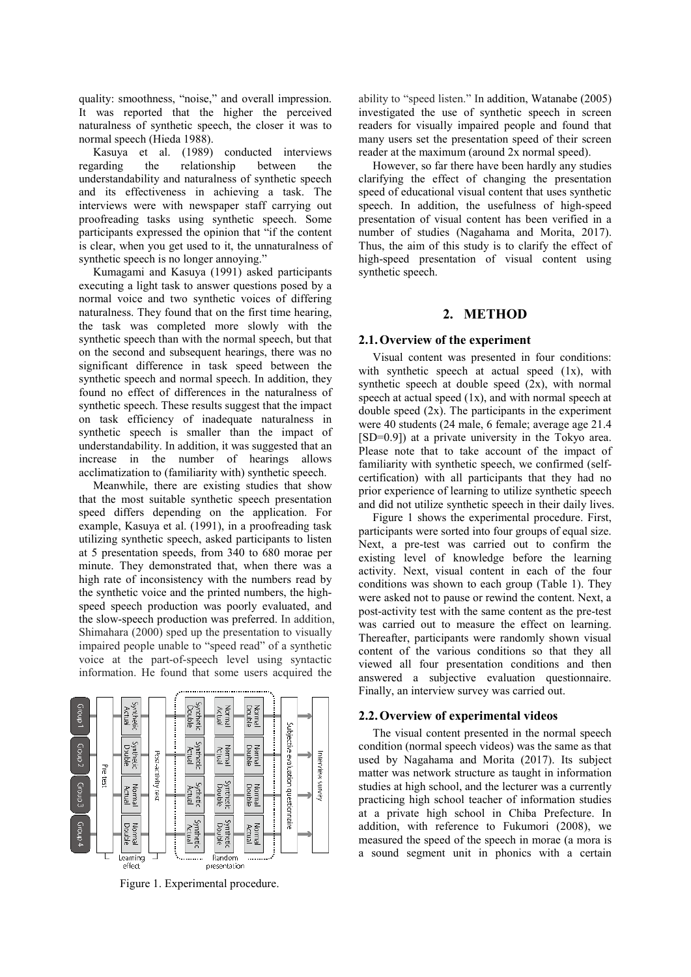quality: smoothness, "noise," and overall impression. It was reported that the higher the perceived naturalness of synthetic speech, the closer it was to normal speech (Hieda 1988).

Kasuya et al. (1989) conducted interviews regarding the relationship between the understandability and naturalness of synthetic speech and its effectiveness in achieving a task. The interviews were with newspaper staff carrying out proofreading tasks using synthetic speech. Some participants expressed the opinion that "if the content is clear, when you get used to it, the unnaturalness of synthetic speech is no longer annoying."

Kumagami and Kasuya (1991) asked participants executing a light task to answer questions posed by a normal voice and two synthetic voices of differing naturalness. They found that on the first time hearing, the task was completed more slowly with the synthetic speech than with the normal speech, but that on the second and subsequent hearings, there was no significant difference in task speed between the synthetic speech and normal speech. In addition, they found no effect of differences in the naturalness of synthetic speech. These results suggest that the impact on task efficiency of inadequate naturalness in synthetic speech is smaller than the impact of understandability. In addition, it was suggested that an increase in the number of hearings allows acclimatization to (familiarity with) synthetic speech.

Meanwhile, there are existing studies that show that the most suitable synthetic speech presentation speed differs depending on the application. For example, Kasuya et al. (1991), in a proofreading task utilizing synthetic speech, asked participants to listen at 5 presentation speeds, from 340 to 680 morae per minute. They demonstrated that, when there was a high rate of inconsistency with the numbers read by the synthetic voice and the printed numbers, the highspeed speech production was poorly evaluated, and the slow-speech production was preferred. In addition, Shimahara (2000) sped up the presentation to visually impaired people unable to "speed read" of a synthetic voice at the part-of-speech level using syntactic information. He found that some users acquired the



Figure 1. Experimental procedure.

ability to "speed listen." In addition, Watanabe (2005) investigated the use of synthetic speech in screen readers for visually impaired people and found that many users set the presentation speed of their screen reader at the maximum (around 2x normal speed).

However, so far there have been hardly any studies clarifying the effect of changing the presentation speed of educational visual content that uses synthetic speech. In addition, the usefulness of high-speed presentation of visual content has been verified in a number of studies (Nagahama and Morita, 2017). Thus, the aim of this study is to clarify the effect of high-speed presentation of visual content using synthetic speech.

## **2. METHOD**

## **2.1.Overview of the experiment**

Visual content was presented in four conditions: with synthetic speech at actual speed  $(1x)$ , with synthetic speech at double speed  $(2x)$ , with normal speech at actual speed  $(1x)$ , and with normal speech at double speed  $(2x)$ . The participants in the experiment were 40 students (24 male, 6 female; average age 21.4 [SD=0.9]) at a private university in the Tokyo area. Please note that to take account of the impact of familiarity with synthetic speech, we confirmed (selfcertification) with all participants that they had no prior experience of learning to utilize synthetic speech and did not utilize synthetic speech in their daily lives.

Figure 1 shows the experimental procedure. First, participants were sorted into four groups of equal size. Next, a pre-test was carried out to confirm the existing level of knowledge before the learning activity. Next, visual content in each of the four conditions was shown to each group (Table 1). They were asked not to pause or rewind the content. Next, a post-activity test with the same content as the pre-test was carried out to measure the effect on learning. Thereafter, participants were randomly shown visual content of the various conditions so that they all viewed all four presentation conditions and then answered a subjective evaluation questionnaire. Finally, an interview survey was carried out.

## **2.2.Overview of experimental videos**

The visual content presented in the normal speech condition (normal speech videos) was the same as that used by Nagahama and Morita (2017). Its subject matter was network structure as taught in information studies at high school, and the lecturer was a currently practicing high school teacher of information studies at a private high school in Chiba Prefecture. In addition, with reference to Fukumori (2008), we measured the speed of the speech in morae (a mora is a sound segment unit in phonics with a certain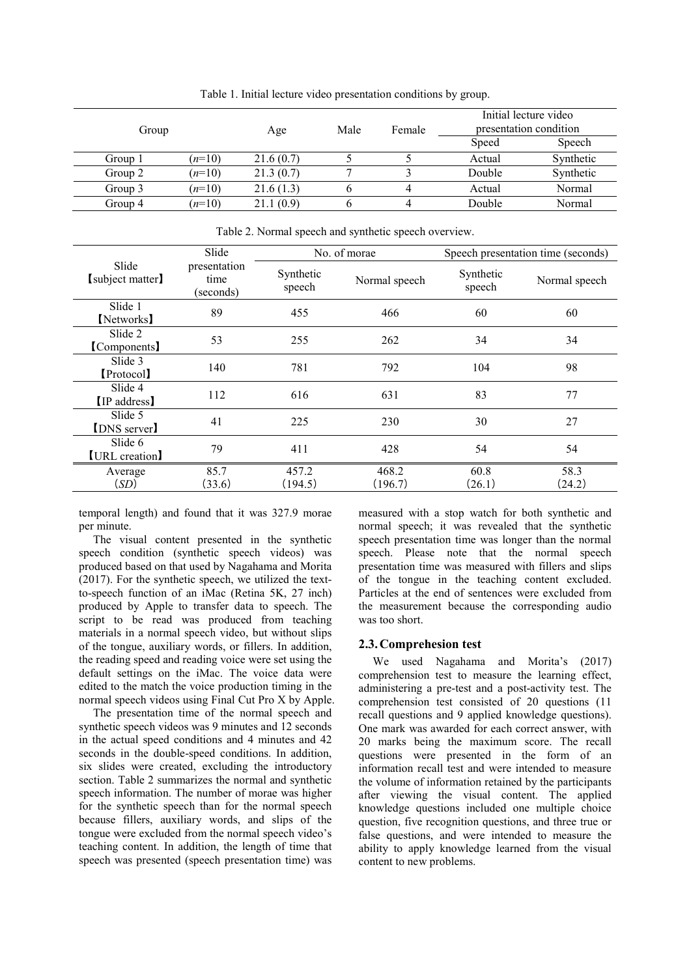| Group   |          | Age       | Male | Female | Initial lecture video<br>presentation condition |           |  |
|---------|----------|-----------|------|--------|-------------------------------------------------|-----------|--|
|         |          |           |      |        | Speed                                           | Speech    |  |
| Group 1 | $(n=10)$ | 21.6(0.7) |      |        | Actual                                          | Synthetic |  |
| Group 2 | $(n=10)$ | 21.3(0.7) |      |        | Double                                          | Synthetic |  |
| Group 3 | $(n=10)$ | 21.6(1.3) |      |        | Actual                                          | Normal    |  |
| Group 4 | $(n=10)$ | 21.1(0.9) |      |        | Double                                          | Normal    |  |

Table 1. Initial lecture video presentation conditions by group.

|                              | Slide                             |                     | No. of morae     | Speech presentation time (seconds) |                |  |
|------------------------------|-----------------------------------|---------------------|------------------|------------------------------------|----------------|--|
| Slide<br>[subject matter]    | presentation<br>time<br>(seconds) | Synthetic<br>speech | Normal speech    | Synthetic<br>speech                | Normal speech  |  |
| Slide 1<br>[Networks]        | 89                                | 455                 | 466              | 60                                 | 60             |  |
| Slide 2<br>[Components]      | 53                                | 255                 | 262              | 34                                 | 34             |  |
| Slide 3<br>[Protocol]        | 140                               | 781                 | 792              | 104                                | 98             |  |
| Slide 4<br><b>IP</b> address | 112                               | 616                 | 631              | 83                                 | 77             |  |
| Slide 5<br>[DNS server]      | 41                                | 225                 | 230              | 30                                 | 27             |  |
| Slide 6<br>[URL creation]    | 79                                | 411                 | 428              | 54                                 | 54             |  |
| Average<br>(SD)              | 85.7<br>(33.6)                    | 457.2<br>(194.5)    | 468.2<br>(196.7) | 60.8<br>(26.1)                     | 58.3<br>(24.2) |  |

Table 2. Normal speech and synthetic speech overview.

temporal length) and found that it was 327.9 morae per minute.

The visual content presented in the synthetic speech condition (synthetic speech videos) was produced based on that used by Nagahama and Morita (2017). For the synthetic speech, we utilized the textto-speech function of an iMac (Retina 5K, 27 inch) produced by Apple to transfer data to speech. The script to be read was produced from teaching materials in a normal speech video, but without slips of the tongue, auxiliary words, or fillers. In addition, the reading speed and reading voice were set using the default settings on the iMac. The voice data were edited to the match the voice production timing in the normal speech videos using Final Cut Pro X by Apple.

The presentation time of the normal speech and synthetic speech videos was 9 minutes and 12 seconds in the actual speed conditions and 4 minutes and 42 seconds in the double-speed conditions. In addition, six slides were created, excluding the introductory section. Table 2 summarizes the normal and synthetic speech information. The number of morae was higher for the synthetic speech than for the normal speech because fillers, auxiliary words, and slips of the tongue were excluded from the normal speech video's teaching content. In addition, the length of time that speech was presented (speech presentation time) was measured with a stop watch for both synthetic and normal speech; it was revealed that the synthetic speech presentation time was longer than the normal speech. Please note that the normal speech presentation time was measured with fillers and slips of the tongue in the teaching content excluded. Particles at the end of sentences were excluded from the measurement because the corresponding audio was too short.

#### **2.3.Comprehesion test**

We used Nagahama and Morita's (2017) comprehension test to measure the learning effect, administering a pre-test and a post-activity test. The comprehension test consisted of 20 questions (11 recall questions and 9 applied knowledge questions). One mark was awarded for each correct answer, with 20 marks being the maximum score. The recall questions were presented in the form of an information recall test and were intended to measure the volume of information retained by the participants after viewing the visual content. The applied knowledge questions included one multiple choice question, five recognition questions, and three true or false questions, and were intended to measure the ability to apply knowledge learned from the visual content to new problems.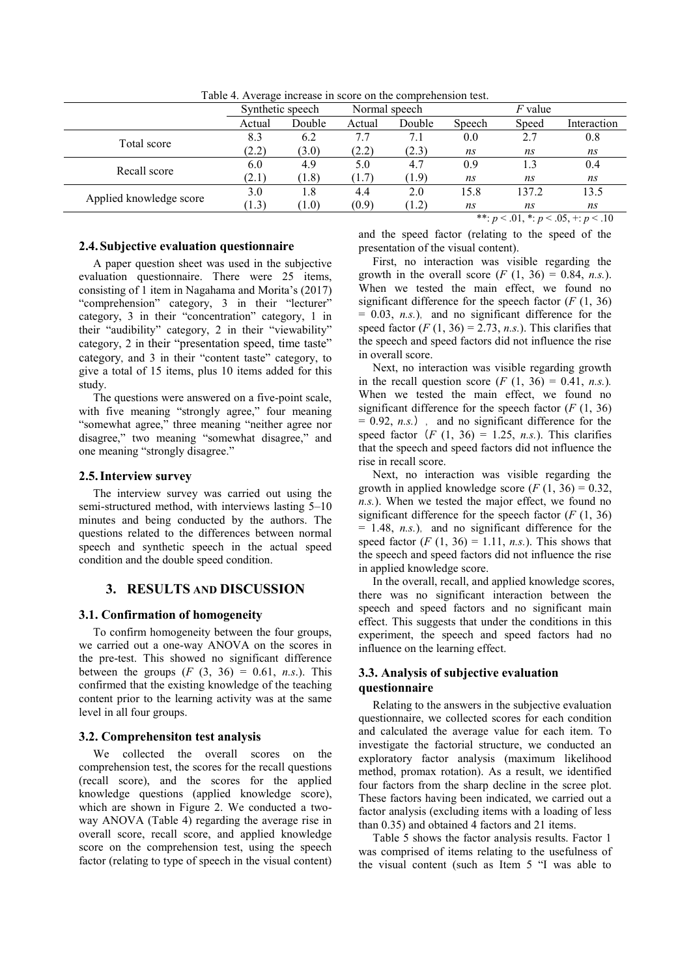|                         |                  |        | Normal speech |        | $F$ value |       |             |
|-------------------------|------------------|--------|---------------|--------|-----------|-------|-------------|
|                         | Synthetic speech |        |               |        |           |       |             |
|                         | Actual           | Double | Actual        | Double | Speech    | Speed | Interaction |
| Total score             | 8.3              | 6.2    | 7.7           | 7.1    | 0.0       | 2.7   | 0.8         |
|                         | (2.2)            | (3.0)  | (2.2)         | (2.3)  | ns        | ns    | ns          |
| Recall score            | 6.0              | 4.9    | 5.0           | 4.7    | 0.9       | 1.3   | 0.4         |
|                         | (2.1)            | (1.8)  | (1.7)         | (1.9)  | ns        | ns    | ns          |
| Applied knowledge score | 3.0              | 1.8    | 4.4           | 2.0    | 15.8      | 137.2 | 13.5        |
|                         | (1.3)            | (1.0)  | (0.9)         | (1.2)  | ns        | ns    | ns          |
|                         |                  |        |               |        |           |       |             |

Table 4. Average increase in score on the comprehension test.

## **2.4.Subjective evaluation questionnaire**

A paper question sheet was used in the subjective evaluation questionnaire. There were 25 items, consisting of 1 item in Nagahama and Morita's (2017) "comprehension" category, 3 in their "lecturer" category, 3 in their "concentration" category, 1 in their "audibility" category, 2 in their "viewability" category, 2 in their "presentation speed, time taste" category, and 3 in their "content taste" category, to give a total of 15 items, plus 10 items added for this study.

The questions were answered on a five-point scale, with five meaning "strongly agree," four meaning "somewhat agree," three meaning "neither agree nor disagree," two meaning "somewhat disagree," and one meaning "strongly disagree."

## **2.5.Interview survey**

The interview survey was carried out using the semi-structured method, with interviews lasting 5–10 minutes and being conducted by the authors. The questions related to the differences between normal speech and synthetic speech in the actual speed condition and the double speed condition.

## **3. RESULTS AND DISCUSSION**

#### **3.1. Confirmation of homogeneity**

To confirm homogeneity between the four groups, we carried out a one-way ANOVA on the scores in the pre-test. This showed no significant difference between the groups  $(F (3, 36) = 0.61, n.s.).$  This confirmed that the existing knowledge of the teaching content prior to the learning activity was at the same level in all four groups.

#### **3.2. Comprehensiton test analysis**

We collected the overall scores on the comprehension test, the scores for the recall questions (recall score), and the scores for the applied knowledge questions (applied knowledge score), which are shown in Figure 2. We conducted a twoway ANOVA (Table 4) regarding the average rise in overall score, recall score, and applied knowledge score on the comprehension test, using the speech factor (relating to type of speech in the visual content) \*\*:  $p < .01$ , \*:  $p < .05$ , +:  $p < .10$ 

and the speed factor (relating to the speed of the presentation of the visual content).

First, no interaction was visible regarding the growth in the overall score  $(F (1, 36) = 0.84, n.s.).$ When we tested the main effect, we found no significant difference for the speech factor  $(F (1, 36))$  $= 0.03$ , *n.s.*), and no significant difference for the speed factor  $(F (1, 36) = 2.73, n.s.).$  This clarifies that the speech and speed factors did not influence the rise in overall score.

Next, no interaction was visible regarding growth in the recall question score  $(F (1, 36) = 0.41, n.s.).$ When we tested the main effect, we found no significant difference for the speech factor  $(F (1, 36))$  $= 0.92$ , *n.s.*), and no significant difference for the speed factor  $(F (1, 36) = 1.25, n.s.).$  This clarifies that the speech and speed factors did not influence the rise in recall score.

Next, no interaction was visible regarding the growth in applied knowledge score  $(F (1, 36) = 0.32)$ , *n.s.*). When we tested the major effect, we found no significant difference for the speech factor  $(F (1, 36))$  $= 1.48$ , *n.s.*), and no significant difference for the speed factor  $(F (1, 36) = 1.11, n.s.).$  This shows that the speech and speed factors did not influence the rise in applied knowledge score.

In the overall, recall, and applied knowledge scores, there was no significant interaction between the speech and speed factors and no significant main effect. This suggests that under the conditions in this experiment, the speech and speed factors had no influence on the learning effect.

## **3.3. Analysis of subjective evaluation questionnaire**

Relating to the answers in the subjective evaluation questionnaire, we collected scores for each condition and calculated the average value for each item. To investigate the factorial structure, we conducted an exploratory factor analysis (maximum likelihood method, promax rotation). As a result, we identified four factors from the sharp decline in the scree plot. These factors having been indicated, we carried out a factor analysis (excluding items with a loading of less than 0.35) and obtained 4 factors and 21 items.

Table 5 shows the factor analysis results. Factor 1 was comprised of items relating to the usefulness of the visual content (such as Item 5 "I was able to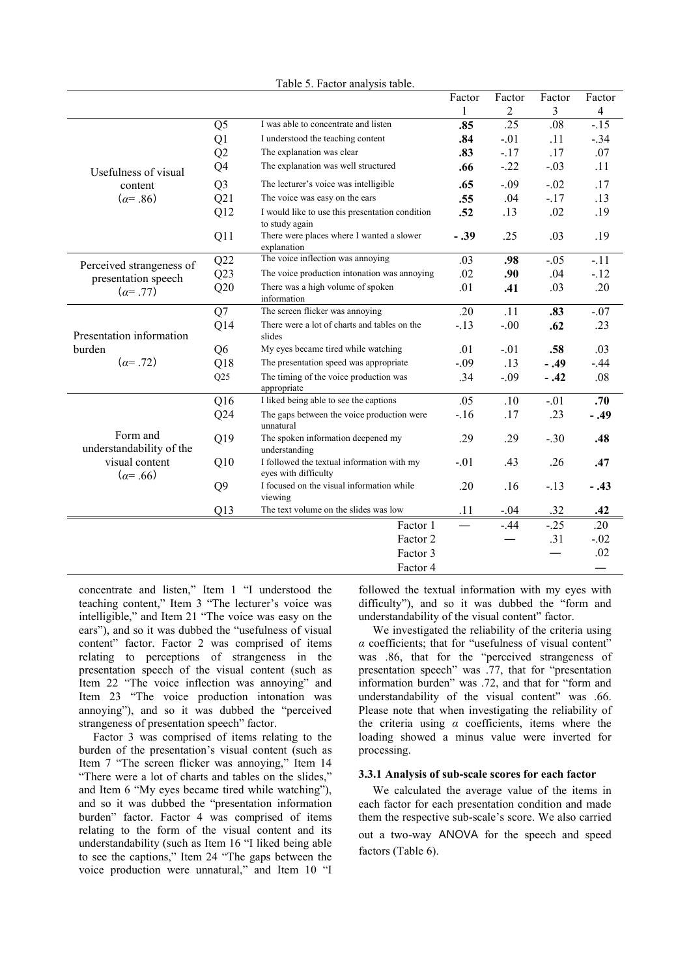|                                      |                |                                                                    | Factor | Factor         | Factor | Factor                  |
|--------------------------------------|----------------|--------------------------------------------------------------------|--------|----------------|--------|-------------------------|
|                                      |                |                                                                    | 1      | $\overline{c}$ | 3      | $\overline{\mathbf{4}}$ |
|                                      | Q <sub>5</sub> | I was able to concentrate and listen                               | .85    | .25            | .08    | $-.15$                  |
|                                      | Q1             | I understood the teaching content                                  | .84    | $-.01$         | .11    | $-.34$                  |
|                                      | Q2             | The explanation was clear                                          | .83    | $-.17$         | .17    | .07                     |
| Usefulness of visual                 | Q4             | The explanation was well structured                                | .66    | $-.22$         | $-.03$ | .11                     |
| content                              | Q <sub>3</sub> | The lecturer's voice was intelligible                              | .65    | $-.09$         | $-.02$ | .17                     |
| $(a=.86)$                            | Q21            | The voice was easy on the ears                                     | .55    | .04            | $-.17$ | .13                     |
|                                      | Q12            | I would like to use this presentation condition<br>to study again  | .52    | .13            | .02    | .19                     |
|                                      | Q11            | There were places where I wanted a slower<br>explanation           | $-.39$ | .25            | .03    | .19                     |
| Perceived strangeness of             | Q22            | The voice inflection was annoying                                  | .03    | .98            | $-.05$ | $-.11$                  |
| presentation speech                  | Q23            | The voice production intonation was annoying                       | .02    | .90            | .04    | $-12$                   |
| $(\alpha = .77)$                     | Q20            | There was a high volume of spoken<br>information                   | .01    | .41            | .03    | .20                     |
|                                      | Q7             | The screen flicker was annoying                                    | .20    | .11            | .83    | $-.07$                  |
| Presentation information             | Q14            | There were a lot of charts and tables on the<br>slides             | $-.13$ | $-.00$         | .62    | .23                     |
| burden                               | Q <sub>6</sub> | My eyes became tired while watching                                | .01    | $-.01$         | .58    | .03                     |
| $(a=.72)$                            | Q18            | The presentation speed was appropriate                             | $-.09$ | .13            | $-.49$ | $-.44$                  |
|                                      | Q25            | The timing of the voice production was<br>appropriate              | .34    | $-.09$         | $-.42$ | .08                     |
|                                      | Q16            | I liked being able to see the captions                             | .05    | .10            | $-.01$ | .70                     |
|                                      | Q24            | The gaps between the voice production were<br>unnatural            | $-16$  | .17            | .23    | $-.49$                  |
| Form and<br>understandability of the | Q19            | The spoken information deepened my<br>understanding                | .29    | .29            | $-.30$ | .48                     |
| visual content<br>$(a=.66)$          | Q10            | I followed the textual information with my<br>eyes with difficulty | $-.01$ | .43            | .26    | .47                     |
|                                      | Q <sub>9</sub> | I focused on the visual information while<br>viewing               | .20    | .16            | $-.13$ | $-.43$                  |
|                                      | Q13            | The text volume on the slides was low                              | .11    | $-.04$         | .32    | .42                     |
|                                      |                | Factor 1                                                           |        | $-.44$         | $-.25$ | .20                     |
|                                      |                | .31<br>Factor 2                                                    |        |                |        |                         |
|                                      |                | Factor 3                                                           |        |                |        | .02                     |
|                                      |                | Factor 4                                                           |        |                |        |                         |

Table 5. Factor analysis table.

concentrate and listen," Item 1 "I understood the teaching content," Item 3 "The lecturer's voice was intelligible," and Item 21 "The voice was easy on the ears"), and so it was dubbed the "usefulness of visual content" factor. Factor 2 was comprised of items relating to perceptions of strangeness in the presentation speech of the visual content (such as Item 22 "The voice inflection was annoying" and Item 23 "The voice production intonation was annoying"), and so it was dubbed the "perceived strangeness of presentation speech" factor.

Factor 3 was comprised of items relating to the burden of the presentation's visual content (such as Item 7 "The screen flicker was annoying," Item 14 "There were a lot of charts and tables on the slides," and Item 6 "My eyes became tired while watching"), and so it was dubbed the "presentation information burden" factor. Factor 4 was comprised of items relating to the form of the visual content and its understandability (such as Item 16 "I liked being able to see the captions," Item 24 "The gaps between the voice production were unnatural," and Item 10 "I followed the textual information with my eyes with difficulty"), and so it was dubbed the "form and understandability of the visual content" factor.

We investigated the reliability of the criteria using *α* coefficients; that for "usefulness of visual content" was .86, that for the "perceived strangeness of presentation speech" was .77, that for "presentation information burden" was .72, and that for "form and understandability of the visual content" was .66. Please note that when investigating the reliability of the criteria using *α* coefficients, items where the loading showed a minus value were inverted for processing.

#### **3.3.1 Analysis of sub-scale scores for each factor**

We calculated the average value of the items in each factor for each presentation condition and made them the respective sub-scale's score. We also carried out a two-way ANOVA for the speech and speed factors (Table 6).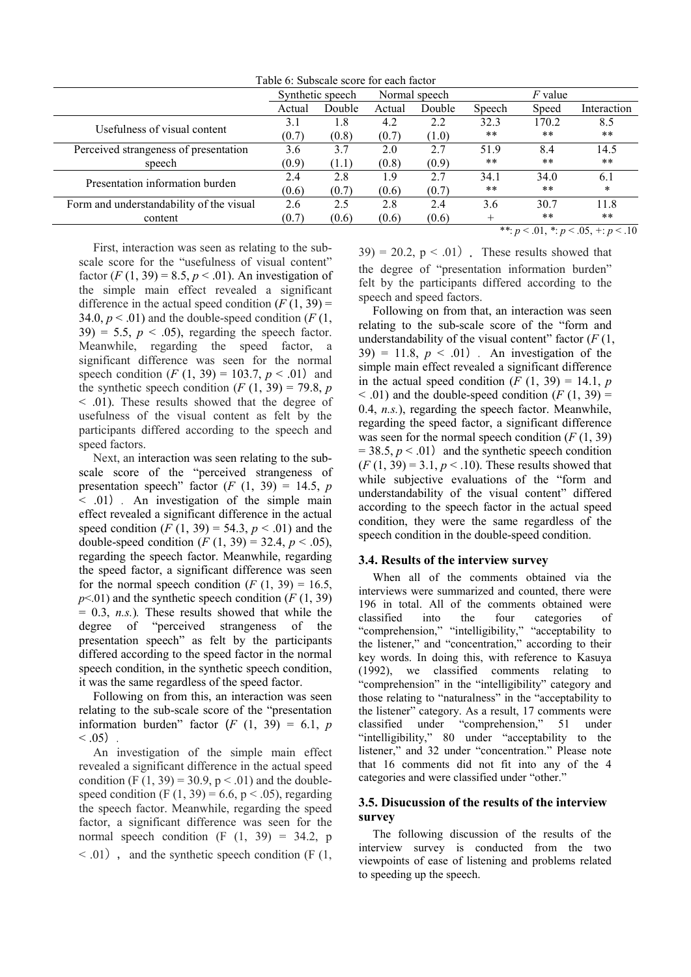Table 6: Subscale score for each factor

|                                          | Synthetic speech |        | Normal speech |        | F value |       |                                                |
|------------------------------------------|------------------|--------|---------------|--------|---------|-------|------------------------------------------------|
|                                          | Actual           | Double | Actual        | Double | Speech  | Speed | Interaction                                    |
| Usefulness of visual content             | 3.1              | 1.8    | 4.2           | 2.2    | 32.3    | 170.2 | 8.5                                            |
|                                          | (0.7)            | (0.8)  | (0.7)         | (1.0)  | **      | $***$ | **                                             |
| Perceived strangeness of presentation    | 3.6              | 3.7    | 2.0           | 2.7    | 51.9    | 8.4   | 14.5                                           |
| speech                                   | (0.9)            | (1.1)  | (0.8)         | (0.9)  | **      | $***$ | **                                             |
| Presentation information burden          | 2.4              | 2.8    | 1.9           | 2.7    | 34.1    | 34.0  | 6.1                                            |
|                                          | (0.6)            | (0.7)  | (0.6)         | (0.7)  | **      | $***$ | *                                              |
| Form and understandability of the visual | 2.6              | 2.5    | 2.8           | 2.4    | 3.6     | 30.7  | 11.8                                           |
| content                                  | (0.7)            | (0.6)  | (0.6)         | (0.6)  |         | $***$ | **                                             |
|                                          |                  |        |               |        |         |       | **: $p < 0.01$ , *: $p < 0.05$ , +: $p < 0.10$ |

First, interaction was seen as relating to the subscale score for the "usefulness of visual content" factor  $(F (1, 39) = 8.5, p < .01)$ . An investigation of the simple main effect revealed a significant difference in the actual speed condition  $(F(1, 39))$ 34.0,  $p < .01$ ) and the double-speed condition ( $F(1, 1)$ )  $39 = 5.5$ ,  $p < .05$ ), regarding the speech factor. Meanwhile, regarding the speed factor, a significant difference was seen for the normal speech condition  $(F (1, 39) = 103.7, p < .01)$  and the synthetic speech condition  $(F (1, 39) = 79.8, p)$ < .01). These results showed that the degree of usefulness of the visual content as felt by the participants differed according to the speech and speed factors.

Next, an interaction was seen relating to the subscale score of the "perceived strangeness of presentation speech" factor  $(F (1, 39) = 14.5, p)$  $<$  .01) . An investigation of the simple main effect revealed a significant difference in the actual speed condition  $(F (1, 39) = 54.3, p < .01)$  and the double-speed condition  $(F (1, 39) = 32.4, p < .05)$ , regarding the speech factor. Meanwhile, regarding the speed factor, a significant difference was seen for the normal speech condition  $(F (1, 39) = 16.5,$  $p<01$ ) and the synthetic speech condition (*F* (1, 39)  $= 0.3$ , *n.s.*). These results showed that while the degree of "perceived strangeness of the presentation speech" as felt by the participants differed according to the speed factor in the normal speech condition, in the synthetic speech condition, it was the same regardless of the speed factor.

Following on from this, an interaction was seen relating to the sub-scale score of the "presentation information burden" factor  $(F (1, 39) = 6.1, p)$  $< .05)$ .

An investigation of the simple main effect revealed a significant difference in the actual speed condition (F  $(1, 39) = 30.9$ , p < .01) and the doublespeed condition (F  $(1, 39) = 6.6$ , p < .05), regarding the speech factor. Meanwhile, regarding the speed factor, a significant difference was seen for the normal speech condition  $(F (1, 39) = 34.2, p)$  $\leq$  .01), and the synthetic speech condition (F (1,  $39$ ) = 20.2,  $p < .01$ ). These results showed that the degree of "presentation information burden" felt by the participants differed according to the speech and speed factors.

Following on from that, an interaction was seen relating to the sub-scale score of the "form and understandability of the visual content" factor (*F* (1,  $39$ ) = 11.8,  $p < .01$ ). An investigation of the simple main effect revealed a significant difference in the actual speed condition  $(F (1, 39) = 14.1, p)$  $<$  0.01) and the double-speed condition ( $F(1, 39)$  = 0.4, *n.s.*), regarding the speech factor. Meanwhile, regarding the speed factor, a significant difference was seen for the normal speech condition  $(F(1, 39))$  $= 38.5, p < .01$ ) and the synthetic speech condition  $(F (1, 39) = 3.1, p < .10)$ . These results showed that while subjective evaluations of the "form and understandability of the visual content" differed according to the speech factor in the actual speed condition, they were the same regardless of the speech condition in the double-speed condition.

#### **3.4. Results of the interview survey**

When all of the comments obtained via the interviews were summarized and counted, there were 196 in total. All of the comments obtained were classified into the four categories of "comprehension," "intelligibility," "acceptability to the listener," and "concentration," according to their key words. In doing this, with reference to Kasuya (1992), we classified comments relating to "comprehension" in the "intelligibility" category and those relating to "naturalness" in the "acceptability to the listener" category. As a result, 17 comments were classified under "comprehension," 51 under "intelligibility," 80 under "acceptability to the listener," and 32 under "concentration." Please note that 16 comments did not fit into any of the 4 categories and were classified under "other."

## **3.5. Disucussion of the results of the interview survey**

The following discussion of the results of the interview survey is conducted from the two viewpoints of ease of listening and problems related to speeding up the speech.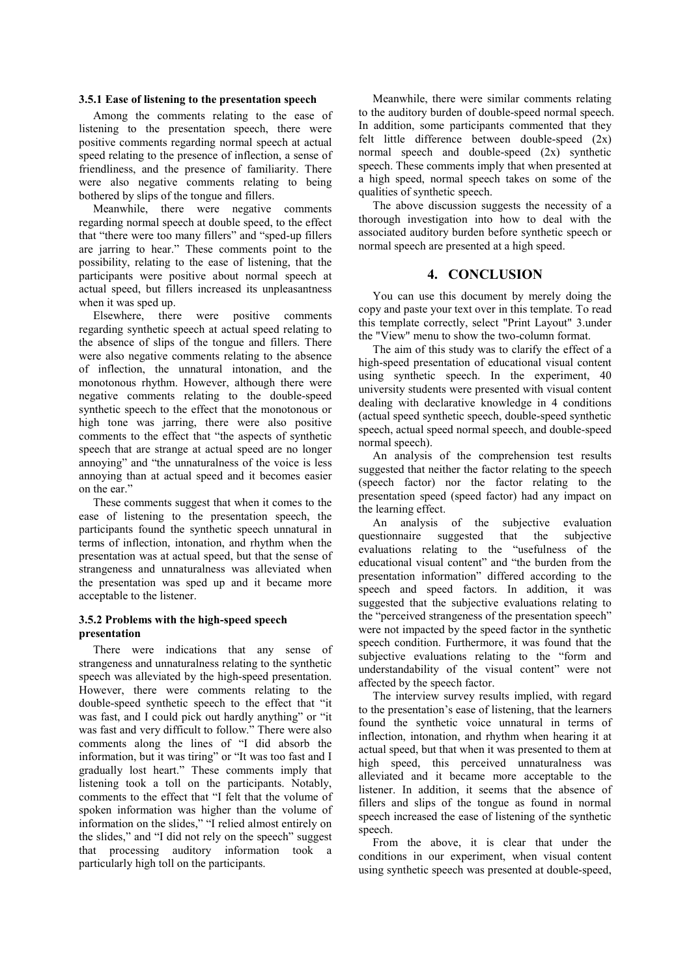#### **3.5.1 Ease of listening to the presentation speech**

Among the comments relating to the ease of listening to the presentation speech, there were positive comments regarding normal speech at actual speed relating to the presence of inflection, a sense of friendliness, and the presence of familiarity. There were also negative comments relating to being bothered by slips of the tongue and fillers.

Meanwhile, there were negative comments regarding normal speech at double speed, to the effect that "there were too many fillers" and "sped-up fillers are jarring to hear." These comments point to the possibility, relating to the ease of listening, that the participants were positive about normal speech at actual speed, but fillers increased its unpleasantness when it was sped up.

Elsewhere, there were positive comments regarding synthetic speech at actual speed relating to the absence of slips of the tongue and fillers. There were also negative comments relating to the absence of inflection, the unnatural intonation, and the monotonous rhythm. However, although there were negative comments relating to the double-speed synthetic speech to the effect that the monotonous or high tone was jarring, there were also positive comments to the effect that "the aspects of synthetic speech that are strange at actual speed are no longer annoying" and "the unnaturalness of the voice is less annoying than at actual speed and it becomes easier on the ear."

These comments suggest that when it comes to the ease of listening to the presentation speech, the participants found the synthetic speech unnatural in terms of inflection, intonation, and rhythm when the presentation was at actual speed, but that the sense of strangeness and unnaturalness was alleviated when the presentation was sped up and it became more acceptable to the listener.

## **3.5.2 Problems with the high-speed speech presentation**

There were indications that any sense of strangeness and unnaturalness relating to the synthetic speech was alleviated by the high-speed presentation. However, there were comments relating to the double-speed synthetic speech to the effect that "it was fast, and I could pick out hardly anything" or "it was fast and very difficult to follow." There were also comments along the lines of "I did absorb the information, but it was tiring" or "It was too fast and I gradually lost heart." These comments imply that listening took a toll on the participants. Notably, comments to the effect that "I felt that the volume of spoken information was higher than the volume of information on the slides," "I relied almost entirely on the slides," and "I did not rely on the speech" suggest that processing auditory information took a particularly high toll on the participants.

Meanwhile, there were similar comments relating to the auditory burden of double-speed normal speech. In addition, some participants commented that they felt little difference between double-speed  $(2x)$ normal speech and double-speed (2x) synthetic speech. These comments imply that when presented at a high speed, normal speech takes on some of the qualities of synthetic speech.

The above discussion suggests the necessity of a thorough investigation into how to deal with the associated auditory burden before synthetic speech or normal speech are presented at a high speed.

# **4. CONCLUSION**

You can use this document by merely doing the copy and paste your text over in this template. To read this template correctly, select "Print Layout" 3.under the "View" menu to show the two-column format.

The aim of this study was to clarify the effect of a high-speed presentation of educational visual content using synthetic speech. In the experiment, 40 university students were presented with visual content dealing with declarative knowledge in 4 conditions (actual speed synthetic speech, double-speed synthetic speech, actual speed normal speech, and double-speed normal speech).

An analysis of the comprehension test results suggested that neither the factor relating to the speech (speech factor) nor the factor relating to the presentation speed (speed factor) had any impact on the learning effect.

An analysis of the subjective evaluation questionnaire suggested that the subjective evaluations relating to the "usefulness of the educational visual content" and "the burden from the presentation information" differed according to the speech and speed factors. In addition, it was suggested that the subjective evaluations relating to the "perceived strangeness of the presentation speech" were not impacted by the speed factor in the synthetic speech condition. Furthermore, it was found that the subjective evaluations relating to the "form and understandability of the visual content" were not affected by the speech factor.

The interview survey results implied, with regard to the presentation's ease of listening, that the learners found the synthetic voice unnatural in terms of inflection, intonation, and rhythm when hearing it at actual speed, but that when it was presented to them at high speed, this perceived unnaturalness was alleviated and it became more acceptable to the listener. In addition, it seems that the absence of fillers and slips of the tongue as found in normal speech increased the ease of listening of the synthetic speech.

From the above, it is clear that under the conditions in our experiment, when visual content using synthetic speech was presented at double-speed,